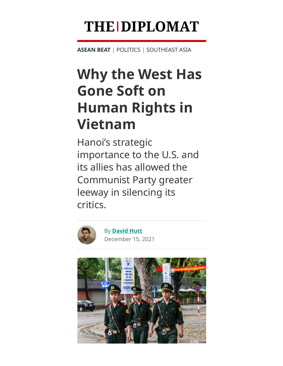# **THE DIPLOMAT**

**[ASEAN](https://thediplomat.com/category/asean-beat/) BEAT** | [POLITICS](https://thediplomat.com/topics/politics/) | [SOUTHEAST](https://thediplomat.com/regions/southeast-asia/) ASIA

## **Why the West Has Gone Soft on Human Rights in Vietnam**

Hanoi's strategic importance to the U.S. and its allies has allowed the Communist Party greater leeway in silencing its critics.



By **[David](https://thediplomat.com/authors/david-hutt/) Hutt** December 15, 2021

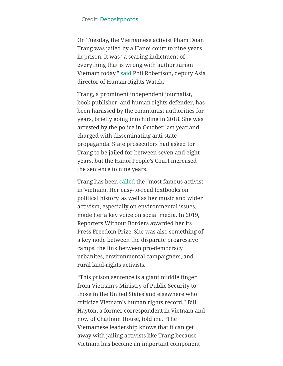## Credit: [Depositphotos](https://depositphotos.com/403941232/stock-photo-vietnamese-policemen-street-hanoi.html)

On Tuesday, the Vietnamese activist Pham Doan Trang was jailed by a Hanoi court to nine years in prison. It was "a searing indictment of everything that is wrong with authoritarian Vietnam today," [said P](https://www.reuters.com/world/asia-pacific/dissident-journalist-jailed-vietnam-9-years-anti-state-acts-2021-12-14/)hil Robertson, deputy Asia director of Human Rights Watch.

Trang, a prominent independent journalist, book publisher, and human rights defender, has been harassed by the communist authorities for years, briefly going into hiding in 2018. She was arrested by the police in October last year and charged with disseminating anti-state propaganda. State prosecutors had asked for Trang to be jailed for between seven and eight years, but the Hanoi People's Court increased the sentence to nine years.

Trang has been [called](https://www.washingtonpost.com/world/asia_pacific/vietnam-press-freedom-pham-doan-trang/2021/12/14/8ed0f008-57e4-11ec-8396-5552bef55c3c_story.html) the "most famous activist" in Vietnam. Her easy-to-read textbooks on political history, as well as her music and wider activism, especially on environmental issues, made her a key voice on social media. In 2019, Reporters Without Borders awarded her its Press Freedom Prize. She was also something of a key node between the disparate progressive camps, the link between pro-democracy urbanites, environmental campaigners, and rural land-rights activists.

"This prison sentence is a giant middle finger from Vietnam's Ministry of Public Security to those in the United States and elsewhere who criticize Vietnam's human rights record," Bill Hayton, a former correspondent in Vietnam and now of Chatham House, told me. "The Vietnamese leadership knows that it can get away with jailing activists like Trang because Vietnam has become an important component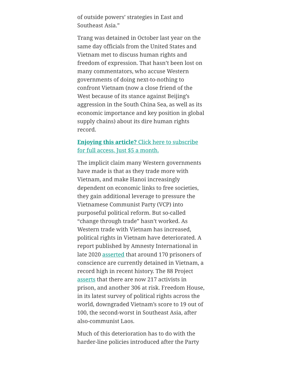of outside powers' strategies in East and Southeast Asia."

Trang was detained in October last year on the same day officials from the United States and Vietnam met to discuss human rights and freedom of expression. That hasn't been lost on many commentators, who accuse Western governments of doing next-to-nothing to confront Vietnam (now a close friend of the West because of its stance against Beijing's aggression in the South China Sea, as well as its economic importance and key position in global supply chains) about its dire human rights record.

## **Enjoying this article?** Click here to subscribe [for full access. Just \\$5 a month.](https://thediplomat.com/subscriptions/)

The implicit claim many Western governments have made is that as they trade more with Vietnam, and make Hanoi increasingly dependent on economic links to free societies, they gain additional leverage to pressure the Vietnamese Communist Party (VCP) into purposeful political reform. But so-called "change through trade" hasn't worked. As Western trade with Vietnam has increased, political rights in Vietnam have deteriorated. A report published by Amnesty International in late 2020 [asserted](https://www.washingtonpost.com/world/asia_pacific/vietnam-press-freedom-pham-doan-trang/2021/12/14/8ed0f008-57e4-11ec-8396-5552bef55c3c_story.html) that around 170 prisoners of conscience are currently detained in Vietnam, a record high in recent history. The 88 Project [asserts](https://the88project.org/database/) that there are now 217 activists in prison, and another 306 at risk. Freedom House, in its latest survey of political rights across the world, downgraded Vietnam's score to 19 out of 100, the second-worst in Southeast Asia, after also-communist Laos.

Much of this deterioration has to do with the harder-line policies introduced after the Party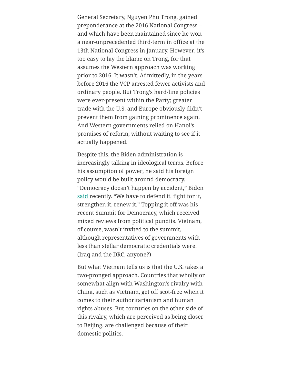General Secretary, Nguyen Phu Trong, gained preponderance at the 2016 National Congress – and which have been maintained since he won a near-unprecedented third-term in office at the 13th National Congress in January. However, it's too easy to lay the blame on Trong, for that assumes the Western approach was working prior to 2016. It wasn't. Admittedly, in the years before 2016 the VCP arrested fewer activists and ordinary people. But Trong's hard-line policies were ever-present within the Party; greater trade with the U.S. and Europe obviously didn't prevent them from gaining prominence again. And Western governments relied on Hanoi's promises of reform, without waiting to see if it actually happened.

Despite this, the Biden administration is increasingly talking in ideological terms. Before his assumption of power, he said his foreign policy would be built around democracy. "Democracy doesn't happen by accident," Biden [said r](https://www.economist.com/graphic-detail/2021/12/06/joe-bidens-summit-for-democracy-is-not-all-that-democratic)ecently. "We have to defend it, fight for it, strengthen it, renew it." Topping it off was his recent Summit for Democracy, which received mixed reviews from political pundits. Vietnam, of course, wasn't invited to the summit, although representatives of governments with less than stellar democratic credentials were. (Iraq and the DRC, anyone?)

But what Vietnam tells us is that the U.S. takes a two-pronged approach. Countries that wholly or somewhat align with Washington's rivalry with China, such as Vietnam, get off scot-free when it comes to their authoritarianism and human rights abuses. But countries on the other side of this rivalry, which are perceived as being closer to Beijing, are challenged because of their domestic politics.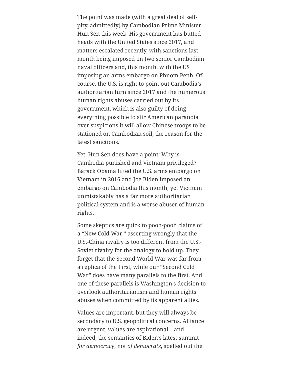The point was made (with a great deal of selfpity, admittedly) by Cambodian Prime Minister Hun Sen this week. His government has butted heads with the United States since 2017, and matters escalated recently, with sanctions last month being imposed on two senior Cambodian naval officers and, this month, with the US imposing an arms embargo on Phnom Penh. Of course, the U.S. is right to point out Cambodia's authoritarian turn since 2017 and the numerous human rights abuses carried out by its government, which is also guilty of doing everything possible to stir American paranoia over suspicions it will allow Chinese troops to be stationed on Cambodian soil, the reason for the latest sanctions.

Yet, Hun Sen does have a point: Why is Cambodia punished and Vietnam privileged? Barack Obama lifted the U.S. arms embargo on Vietnam in 2016 and Joe Biden imposed an embargo on Cambodia this month, yet Vietnam unmistakably has a far more authoritarian political system and is a worse abuser of human rights.

Some skeptics are quick to pooh-pooh claims of a "New Cold War," asserting wrongly that the U.S.-China rivalry is too different from the U.S.- Soviet rivalry for the analogy to hold up. They forget that the Second World War was far from a replica of the First, while our "Second Cold War" does have many parallels to the first. And one of these parallels is Washington's decision to overlook authoritarianism and human rights abuses when committed by its apparent allies.

Values are important, but they will always be secondary to U.S. geopolitical concerns. Alliance are urgent, values are aspirational – and, indeed, the semantics of Biden's latest summit *for democracy*, not *of democrats*, spelled out the